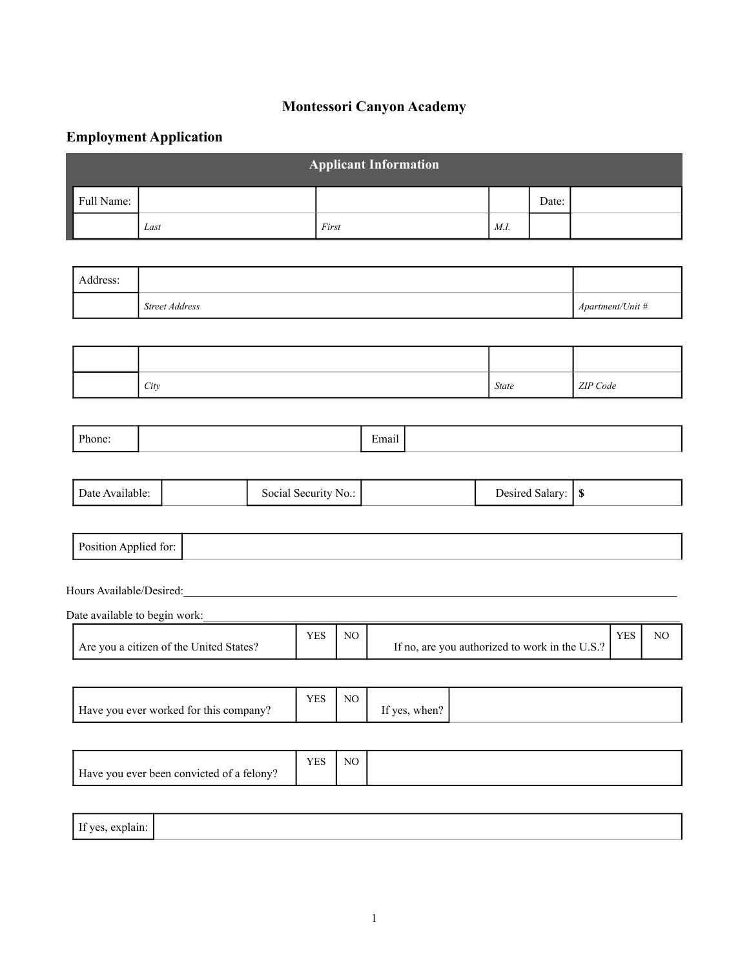## **Montessori Canyon Academy**

## **Employment Application**

| <b>Applicant Information</b> |      |       |      |       |  |  |  |  |
|------------------------------|------|-------|------|-------|--|--|--|--|
| Full Name:                   |      |       |      | Date: |  |  |  |  |
|                              | Last | First | M.I. |       |  |  |  |  |

| Address: |                       |                  |
|----------|-----------------------|------------------|
|          | <b>Street Address</b> | Apartment/Unit # |

| City | <b>State</b> | ZIP Code |
|------|--------------|----------|

| Phone: | $\blacksquare$<br>$\cdot$<br>Email |  |
|--------|------------------------------------|--|
|--------|------------------------------------|--|

| Social Security No.:<br>Date Available: |  | Desired Salary: | ה ו |
|-----------------------------------------|--|-----------------|-----|
|-----------------------------------------|--|-----------------|-----|

| Position $\sim$<br>tor:<br>Applied<br> |  |
|----------------------------------------|--|
|----------------------------------------|--|

## Hours Available/Desired:

| Date available to begin work:           |     |                 |                                                        |     |    |  |  |  |  |
|-----------------------------------------|-----|-----------------|--------------------------------------------------------|-----|----|--|--|--|--|
|                                         | YES | NO <sub>1</sub> |                                                        | YES | NC |  |  |  |  |
| Are you a citizen of the United States? |     |                 | If no, are you authorized to work in the U.S.? $\vert$ |     |    |  |  |  |  |

| <b>VEC</b><br>دى<br>Have you ever worked for this company! | NO | τc<br>If yes, when? |  |
|------------------------------------------------------------|----|---------------------|--|
|------------------------------------------------------------|----|---------------------|--|

| Have you ever been convicted of a felony? | <b>ITO</b><br>دن⊥ ⊥ | NO |  |
|-------------------------------------------|---------------------|----|--|
|-------------------------------------------|---------------------|----|--|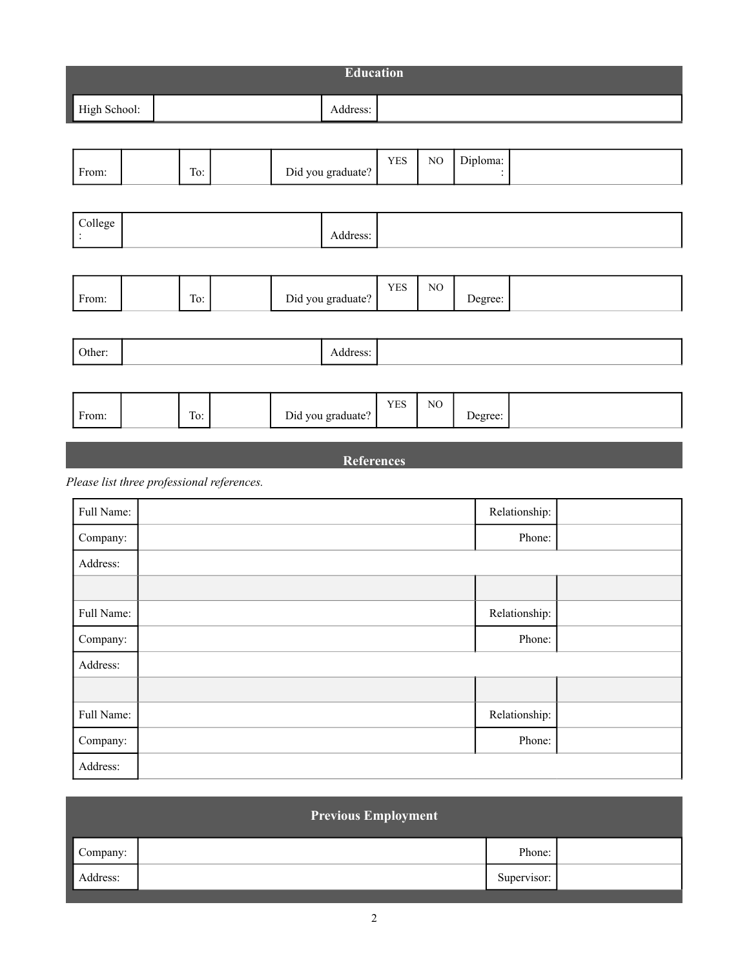|              |     |  | <b>Education</b>  |             |          |                            |  |
|--------------|-----|--|-------------------|-------------|----------|----------------------------|--|
| High School: |     |  | Address:          |             |          |                            |  |
|              |     |  |                   |             |          |                            |  |
| From:        | To: |  | Did you graduate? | ${\rm YES}$ | $\rm NO$ | Diploma:<br>$\ddot{\cdot}$ |  |
|              |     |  |                   |             |          |                            |  |
| College      |     |  | Address:          |             |          |                            |  |
|              |     |  |                   |             |          |                            |  |
| From:        | To: |  | Did you graduate? | ${\rm YES}$ | $\rm NO$ | Degree:                    |  |
|              |     |  |                   |             |          |                            |  |
| Other:       |     |  | Address:          |             |          |                            |  |
|              |     |  |                   |             |          |                            |  |
| From:        | To: |  | Did you graduate? | <b>YES</b>  | $\rm NO$ | Degree:                    |  |

**References** 

*Please list three professional references.* 

| Full Name: | Relationship: |  |
|------------|---------------|--|
| Company:   | Phone:        |  |
| Address:   |               |  |
|            |               |  |
| Full Name: | Relationship: |  |
| Company:   | Phone:        |  |
| Address:   |               |  |
|            |               |  |
| Full Name: | Relationship: |  |
| Company:   | Phone:        |  |
| Address:   |               |  |

| Previous Employment |  |             |  |  |
|---------------------|--|-------------|--|--|
| Company:            |  | Phone:      |  |  |
| Address:            |  | Supervisor: |  |  |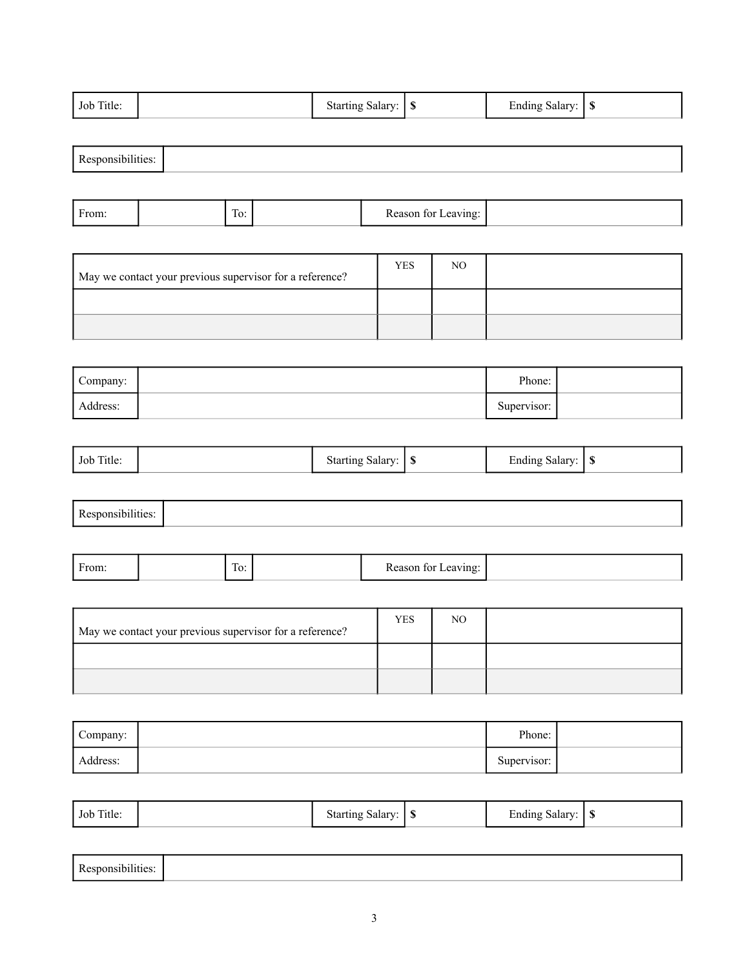| Job Title: | Starting Salary:<br>- AD | <b>CD</b><br>Salary:<br>Ending<br>- 10 |
|------------|--------------------------|----------------------------------------|
|------------|--------------------------|----------------------------------------|

| From: |  | $\sim$<br>10. | Leaving:<br>Reason for |  |
|-------|--|---------------|------------------------|--|
|-------|--|---------------|------------------------|--|

| May we contact your previous supervisor for a reference? | <b>YES</b> | NO |  |
|----------------------------------------------------------|------------|----|--|
|                                                          |            |    |  |
|                                                          |            |    |  |

| Company: | Phone:      |  |
|----------|-------------|--|
| Address: | Supervisor: |  |

| Job Title: | Starting Salary:<br>АD | Ending Salary: | - CD<br>- 17 |
|------------|------------------------|----------------|--------------|
|------------|------------------------|----------------|--------------|

| <b>Contractor</b> |  |
|-------------------|--|
|-------------------|--|

| From: | $\sim$<br>10. |  | Leaving:<br>Reason for <i>I</i> |  |
|-------|---------------|--|---------------------------------|--|
|-------|---------------|--|---------------------------------|--|

| May we contact your previous supervisor for a reference? | <b>YES</b> | NO |  |
|----------------------------------------------------------|------------|----|--|
|                                                          |            |    |  |
|                                                          |            |    |  |

| Company: | Phone:      |  |
|----------|-------------|--|
| Address: | Supervisor: |  |

| Job Title: | <b>Starting Salary:</b> | . Salary:<br>Ending ' | - AD |
|------------|-------------------------|-----------------------|------|
|            |                         |                       |      |

| × |
|---|
|---|